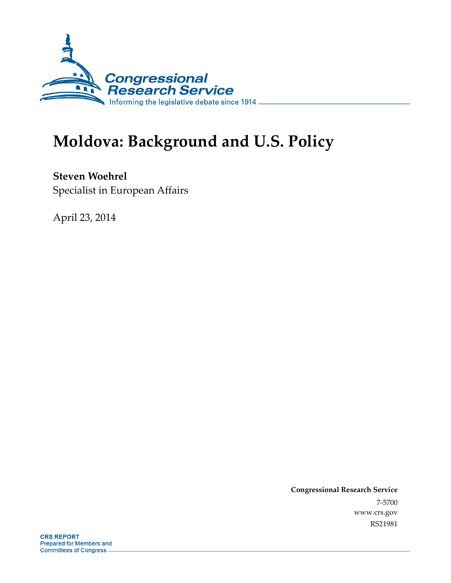

# **Moldova: Background and U.S. Policy**

**Steven Woehrel**  Specialist in European Affairs

April 23, 2014

**Congressional Research Service**  7-5700 www.crs.gov RS21981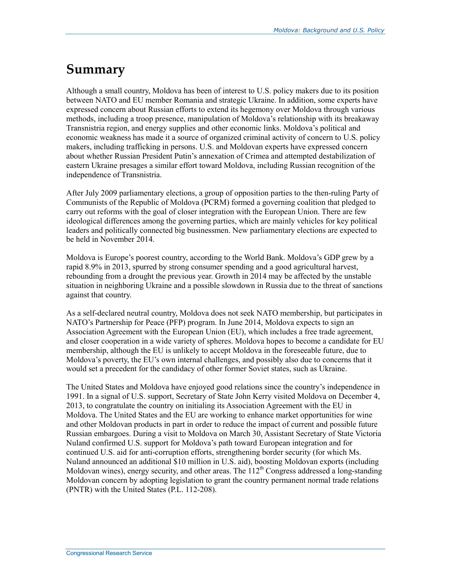### **Summary**

Although a small country, Moldova has been of interest to U.S. policy makers due to its position between NATO and EU member Romania and strategic Ukraine. In addition, some experts have expressed concern about Russian efforts to extend its hegemony over Moldova through various methods, including a troop presence, manipulation of Moldova's relationship with its breakaway Transnistria region, and energy supplies and other economic links. Moldova's political and economic weakness has made it a source of organized criminal activity of concern to U.S. policy makers, including trafficking in persons. U.S. and Moldovan experts have expressed concern about whether Russian President Putin's annexation of Crimea and attempted destabilization of eastern Ukraine presages a similar effort toward Moldova, including Russian recognition of the independence of Transnistria.

After July 2009 parliamentary elections, a group of opposition parties to the then-ruling Party of Communists of the Republic of Moldova (PCRM) formed a governing coalition that pledged to carry out reforms with the goal of closer integration with the European Union. There are few ideological differences among the governing parties, which are mainly vehicles for key political leaders and politically connected big businessmen. New parliamentary elections are expected to be held in November 2014.

Moldova is Europe's poorest country, according to the World Bank. Moldova's GDP grew by a rapid 8.9% in 2013, spurred by strong consumer spending and a good agricultural harvest, rebounding from a drought the previous year. Growth in 2014 may be affected by the unstable situation in neighboring Ukraine and a possible slowdown in Russia due to the threat of sanctions against that country.

As a self-declared neutral country, Moldova does not seek NATO membership, but participates in NATO's Partnership for Peace (PFP) program. In June 2014, Moldova expects to sign an Association Agreement with the European Union (EU), which includes a free trade agreement, and closer cooperation in a wide variety of spheres. Moldova hopes to become a candidate for EU membership, although the EU is unlikely to accept Moldova in the foreseeable future, due to Moldova's poverty, the EU's own internal challenges, and possibly also due to concerns that it would set a precedent for the candidacy of other former Soviet states, such as Ukraine.

The United States and Moldova have enjoyed good relations since the country's independence in 1991. In a signal of U.S. support, Secretary of State John Kerry visited Moldova on December 4, 2013, to congratulate the country on initialing its Association Agreement with the EU in Moldova. The United States and the EU are working to enhance market opportunities for wine and other Moldovan products in part in order to reduce the impact of current and possible future Russian embargoes. During a visit to Moldova on March 30, Assistant Secretary of State Victoria Nuland confirmed U.S. support for Moldova's path toward European integration and for continued U.S. aid for anti-corruption efforts, strengthening border security (for which Ms. Nuland announced an additional \$10 million in U.S. aid), boosting Moldovan exports (including Moldovan wines), energy security, and other areas. The  $112<sup>th</sup>$  Congress addressed a long-standing Moldovan concern by adopting legislation to grant the country permanent normal trade relations (PNTR) with the United States (P.L. 112-208).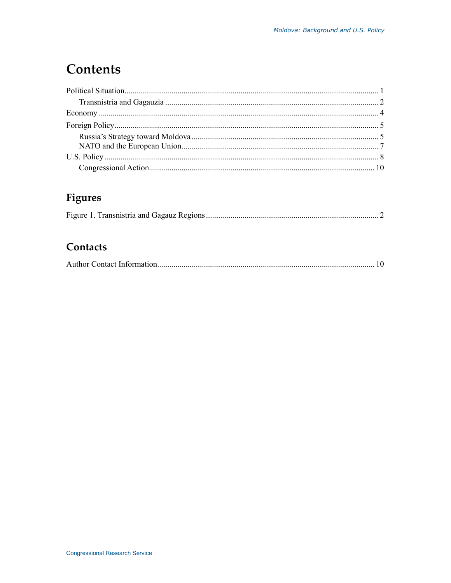## **Contents**

### Figures

|--|--|--|--|--|

#### Contacts

|--|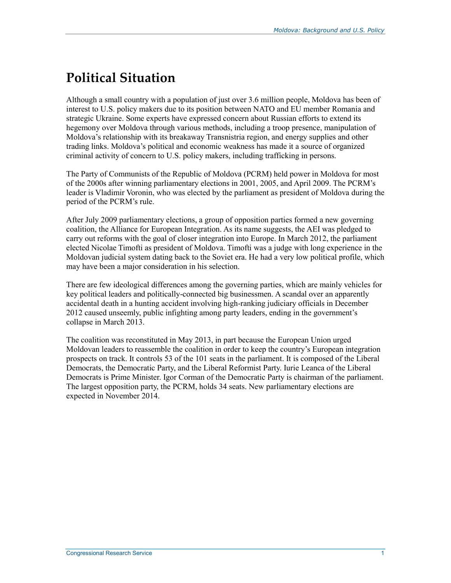## **Political Situation**

Although a small country with a population of just over 3.6 million people, Moldova has been of interest to U.S. policy makers due to its position between NATO and EU member Romania and strategic Ukraine. Some experts have expressed concern about Russian efforts to extend its hegemony over Moldova through various methods, including a troop presence, manipulation of Moldova's relationship with its breakaway Transnistria region, and energy supplies and other trading links. Moldova's political and economic weakness has made it a source of organized criminal activity of concern to U.S. policy makers, including trafficking in persons.

The Party of Communists of the Republic of Moldova (PCRM) held power in Moldova for most of the 2000s after winning parliamentary elections in 2001, 2005, and April 2009. The PCRM's leader is Vladimir Voronin, who was elected by the parliament as president of Moldova during the period of the PCRM's rule.

After July 2009 parliamentary elections, a group of opposition parties formed a new governing coalition, the Alliance for European Integration. As its name suggests, the AEI was pledged to carry out reforms with the goal of closer integration into Europe. In March 2012, the parliament elected Nicolae Timofti as president of Moldova. Timofti was a judge with long experience in the Moldovan judicial system dating back to the Soviet era. He had a very low political profile, which may have been a major consideration in his selection.

There are few ideological differences among the governing parties, which are mainly vehicles for key political leaders and politically-connected big businessmen. A scandal over an apparently accidental death in a hunting accident involving high-ranking judiciary officials in December 2012 caused unseemly, public infighting among party leaders, ending in the government's collapse in March 2013.

The coalition was reconstituted in May 2013, in part because the European Union urged Moldovan leaders to reassemble the coalition in order to keep the country's European integration prospects on track. It controls 53 of the 101 seats in the parliament. It is composed of the Liberal Democrats, the Democratic Party, and the Liberal Reformist Party. Iurie Leanca of the Liberal Democrats is Prime Minister. Igor Corman of the Democratic Party is chairman of the parliament. The largest opposition party, the PCRM, holds 34 seats. New parliamentary elections are expected in November 2014.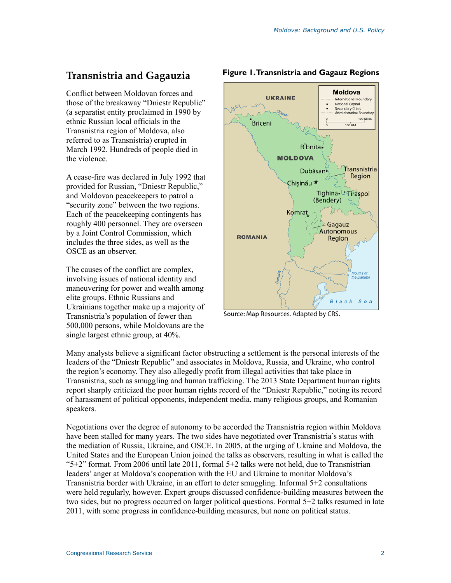#### **Transnistria and Gagauzia**

Conflict between Moldovan forces and those of the breakaway "Dniestr Republic" (a separatist entity proclaimed in 1990 by ethnic Russian local officials in the Transnistria region of Moldova, also referred to as Transnistria) erupted in March 1992. Hundreds of people died in the violence.

A cease-fire was declared in July 1992 that provided for Russian, "Dniestr Republic," and Moldovan peacekeepers to patrol a "security zone" between the two regions. Each of the peacekeeping contingents has roughly 400 personnel. They are overseen by a Joint Control Commission, which includes the three sides, as well as the OSCE as an observer.

The causes of the conflict are complex, involving issues of national identity and maneuvering for power and wealth among elite groups. Ethnic Russians and Ukrainians together make up a majority of Transnistria's population of fewer than 500,000 persons, while Moldovans are the single largest ethnic group, at 40%.



#### **Figure 1. Transnistria and Gagauz Regions**

Source: Map Resources. Adapted by CRS.

Many analysts believe a significant factor obstructing a settlement is the personal interests of the leaders of the "Dniestr Republic" and associates in Moldova, Russia, and Ukraine, who control the region's economy. They also allegedly profit from illegal activities that take place in Transnistria, such as smuggling and human trafficking. The 2013 State Department human rights report sharply criticized the poor human rights record of the "Dniestr Republic," noting its record of harassment of political opponents, independent media, many religious groups, and Romanian speakers.

Negotiations over the degree of autonomy to be accorded the Transnistria region within Moldova have been stalled for many years. The two sides have negotiated over Transnistria's status with the mediation of Russia, Ukraine, and OSCE. In 2005, at the urging of Ukraine and Moldova, the United States and the European Union joined the talks as observers, resulting in what is called the " $5+2$ " format. From 2006 until late 2011, formal  $5+2$  talks were not held, due to Transnistrian leaders' anger at Moldova's cooperation with the EU and Ukraine to monitor Moldova's Transnistria border with Ukraine, in an effort to deter smuggling. Informal 5+2 consultations were held regularly, however. Expert groups discussed confidence-building measures between the two sides, but no progress occurred on larger political questions. Formal 5+2 talks resumed in late 2011, with some progress in confidence-building measures, but none on political status.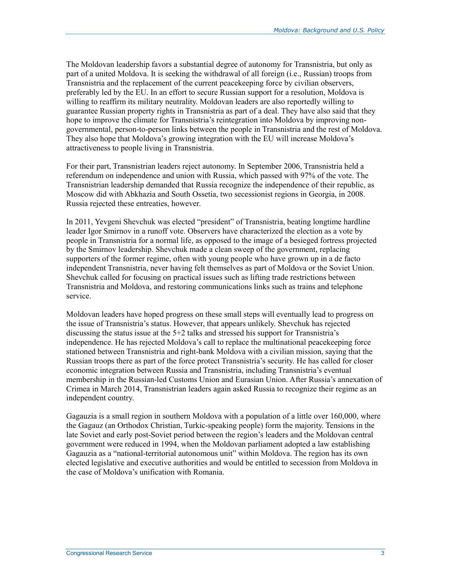The Moldovan leadership favors a substantial degree of autonomy for Transnistria, but only as part of a united Moldova. It is seeking the withdrawal of all foreign (i.e., Russian) troops from Transnistria and the replacement of the current peacekeeping force by civilian observers, preferably led by the EU. In an effort to secure Russian support for a resolution, Moldova is willing to reaffirm its military neutrality. Moldovan leaders are also reportedly willing to guarantee Russian property rights in Transnistria as part of a deal. They have also said that they hope to improve the climate for Transnistria's reintegration into Moldova by improving nongovernmental, person-to-person links between the people in Transnistria and the rest of Moldova. They also hope that Moldova's growing integration with the EU will increase Moldova's attractiveness to people living in Transnistria.

For their part, Transnistrian leaders reject autonomy. In September 2006, Transnistria held a referendum on independence and union with Russia, which passed with 97% of the vote. The Transnistrian leadership demanded that Russia recognize the independence of their republic, as Moscow did with Abkhazia and South Ossetia, two secessionist regions in Georgia, in 2008. Russia rejected these entreaties, however.

In 2011, Yevgeni Shevchuk was elected "president" of Transnistria, beating longtime hardline leader Igor Smirnov in a runoff vote. Observers have characterized the election as a vote by people in Transnistria for a normal life, as opposed to the image of a besieged fortress projected by the Smirnov leadership. Shevchuk made a clean sweep of the government, replacing supporters of the former regime, often with young people who have grown up in a de facto independent Transnistria, never having felt themselves as part of Moldova or the Soviet Union. Shevchuk called for focusing on practical issues such as lifting trade restrictions between Transnistria and Moldova, and restoring communications links such as trains and telephone service.

Moldovan leaders have hoped progress on these small steps will eventually lead to progress on the issue of Transnistria's status. However, that appears unlikely. Shevchuk has rejected discussing the status issue at the 5+2 talks and stressed his support for Transnistria's independence. He has rejected Moldova's call to replace the multinational peacekeeping force stationed between Transnistria and right-bank Moldova with a civilian mission, saying that the Russian troops there as part of the force protect Transnistria's security. He has called for closer economic integration between Russia and Transnistria, including Transnistria's eventual membership in the Russian-led Customs Union and Eurasian Union. After Russia's annexation of Crimea in March 2014, Transnistrian leaders again asked Russia to recognize their regime as an independent country.

Gagauzia is a small region in southern Moldova with a population of a little over 160,000, where the Gagauz (an Orthodox Christian, Turkic-speaking people) form the majority. Tensions in the late Soviet and early post-Soviet period between the region's leaders and the Moldovan central government were reduced in 1994, when the Moldovan parliament adopted a law establishing Gagauzia as a "national-territorial autonomous unit" within Moldova. The region has its own elected legislative and executive authorities and would be entitled to secession from Moldova in the case of Moldova's unification with Romania.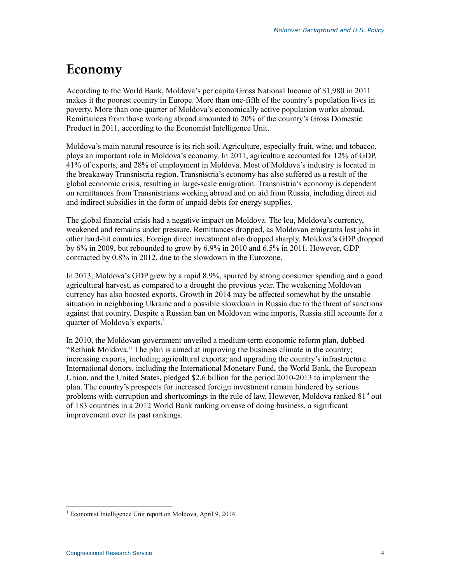### **Economy**

According to the World Bank, Moldova's per capita Gross National Income of \$1,980 in 2011 makes it the poorest country in Europe. More than one-fifth of the country's population lives in poverty. More than one-quarter of Moldova's economically active population works abroad. Remittances from those working abroad amounted to 20% of the country's Gross Domestic Product in 2011, according to the Economist Intelligence Unit.

Moldova's main natural resource is its rich soil. Agriculture, especially fruit, wine, and tobacco, plays an important role in Moldova's economy. In 2011, agriculture accounted for 12% of GDP, 41% of exports, and 28% of employment in Moldova. Most of Moldova's industry is located in the breakaway Transnistria region. Transnistria's economy has also suffered as a result of the global economic crisis, resulting in large-scale emigration. Transnistria's economy is dependent on remittances from Transnistrians working abroad and on aid from Russia, including direct aid and indirect subsidies in the form of unpaid debts for energy supplies.

The global financial crisis had a negative impact on Moldova. The leu, Moldova's currency, weakened and remains under pressure. Remittances dropped, as Moldovan emigrants lost jobs in other hard-hit countries. Foreign direct investment also dropped sharply. Moldova's GDP dropped by 6% in 2009, but rebounded to grow by 6.9% in 2010 and 6.5% in 2011. However, GDP contracted by 0.8% in 2012, due to the slowdown in the Eurozone.

In 2013, Moldova's GDP grew by a rapid 8.9%, spurred by strong consumer spending and a good agricultural harvest, as compared to a drought the previous year. The weakening Moldovan currency has also boosted exports. Growth in 2014 may be affected somewhat by the unstable situation in neighboring Ukraine and a possible slowdown in Russia due to the threat of sanctions against that country. Despite a Russian ban on Moldovan wine imports, Russia still accounts for a quarter of Moldova's exports.<sup>1</sup>

In 2010, the Moldovan government unveiled a medium-term economic reform plan, dubbed "Rethink Moldova." The plan is aimed at improving the business climate in the country; increasing exports, including agricultural exports; and upgrading the country's infrastructure. International donors, including the International Monetary Fund, the World Bank, the European Union, and the United States, pledged \$2.6 billion for the period 2010-2013 to implement the plan. The country's prospects for increased foreign investment remain hindered by serious problems with corruption and shortcomings in the rule of law. However, Moldova ranked  $81<sup>st</sup>$  out of 183 countries in a 2012 World Bank ranking on ease of doing business, a significant improvement over its past rankings.

<sup>&</sup>lt;u>.</u> 1 Economist Intelligence Unit report on Moldova, April 9, 2014.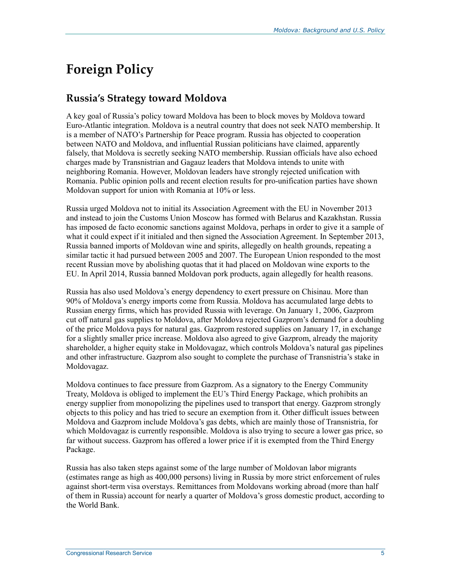### **Foreign Policy**

#### **Russia's Strategy toward Moldova**

A key goal of Russia's policy toward Moldova has been to block moves by Moldova toward Euro-Atlantic integration. Moldova is a neutral country that does not seek NATO membership. It is a member of NATO's Partnership for Peace program. Russia has objected to cooperation between NATO and Moldova, and influential Russian politicians have claimed, apparently falsely, that Moldova is secretly seeking NATO membership. Russian officials have also echoed charges made by Transnistrian and Gagauz leaders that Moldova intends to unite with neighboring Romania. However, Moldovan leaders have strongly rejected unification with Romania. Public opinion polls and recent election results for pro-unification parties have shown Moldovan support for union with Romania at 10% or less.

Russia urged Moldova not to initial its Association Agreement with the EU in November 2013 and instead to join the Customs Union Moscow has formed with Belarus and Kazakhstan. Russia has imposed de facto economic sanctions against Moldova, perhaps in order to give it a sample of what it could expect if it initialed and then signed the Association Agreement. In September 2013, Russia banned imports of Moldovan wine and spirits, allegedly on health grounds, repeating a similar tactic it had pursued between 2005 and 2007. The European Union responded to the most recent Russian move by abolishing quotas that it had placed on Moldovan wine exports to the EU. In April 2014, Russia banned Moldovan pork products, again allegedly for health reasons.

Russia has also used Moldova's energy dependency to exert pressure on Chisinau. More than 90% of Moldova's energy imports come from Russia. Moldova has accumulated large debts to Russian energy firms, which has provided Russia with leverage. On January 1, 2006, Gazprom cut off natural gas supplies to Moldova, after Moldova rejected Gazprom's demand for a doubling of the price Moldova pays for natural gas. Gazprom restored supplies on January 17, in exchange for a slightly smaller price increase. Moldova also agreed to give Gazprom, already the majority shareholder, a higher equity stake in Moldovagaz, which controls Moldova's natural gas pipelines and other infrastructure. Gazprom also sought to complete the purchase of Transnistria's stake in Moldovagaz.

Moldova continues to face pressure from Gazprom. As a signatory to the Energy Community Treaty, Moldova is obliged to implement the EU's Third Energy Package, which prohibits an energy supplier from monopolizing the pipelines used to transport that energy. Gazprom strongly objects to this policy and has tried to secure an exemption from it. Other difficult issues between Moldova and Gazprom include Moldova's gas debts, which are mainly those of Transnistria, for which Moldovagaz is currently responsible. Moldova is also trying to secure a lower gas price, so far without success. Gazprom has offered a lower price if it is exempted from the Third Energy Package.

Russia has also taken steps against some of the large number of Moldovan labor migrants (estimates range as high as 400,000 persons) living in Russia by more strict enforcement of rules against short-term visa overstays. Remittances from Moldovans working abroad (more than half of them in Russia) account for nearly a quarter of Moldova's gross domestic product, according to the World Bank.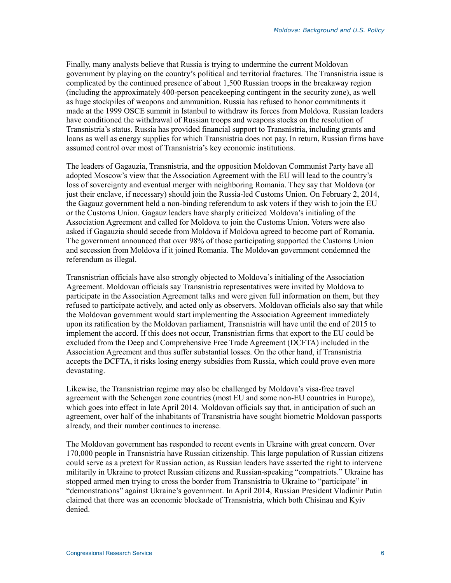Finally, many analysts believe that Russia is trying to undermine the current Moldovan government by playing on the country's political and territorial fractures. The Transnistria issue is complicated by the continued presence of about 1,500 Russian troops in the breakaway region (including the approximately 400-person peacekeeping contingent in the security zone), as well as huge stockpiles of weapons and ammunition. Russia has refused to honor commitments it made at the 1999 OSCE summit in Istanbul to withdraw its forces from Moldova. Russian leaders have conditioned the withdrawal of Russian troops and weapons stocks on the resolution of Transnistria's status. Russia has provided financial support to Transnistria, including grants and loans as well as energy supplies for which Transnistria does not pay. In return, Russian firms have assumed control over most of Transnistria's key economic institutions.

The leaders of Gagauzia, Transnistria, and the opposition Moldovan Communist Party have all adopted Moscow's view that the Association Agreement with the EU will lead to the country's loss of sovereignty and eventual merger with neighboring Romania. They say that Moldova (or just their enclave, if necessary) should join the Russia-led Customs Union. On February 2, 2014, the Gagauz government held a non-binding referendum to ask voters if they wish to join the EU or the Customs Union. Gagauz leaders have sharply criticized Moldova's initialing of the Association Agreement and called for Moldova to join the Customs Union. Voters were also asked if Gagauzia should secede from Moldova if Moldova agreed to become part of Romania. The government announced that over 98% of those participating supported the Customs Union and secession from Moldova if it joined Romania. The Moldovan government condemned the referendum as illegal.

Transnistrian officials have also strongly objected to Moldova's initialing of the Association Agreement. Moldovan officials say Transnistria representatives were invited by Moldova to participate in the Association Agreement talks and were given full information on them, but they refused to participate actively, and acted only as observers. Moldovan officials also say that while the Moldovan government would start implementing the Association Agreement immediately upon its ratification by the Moldovan parliament, Transnistria will have until the end of 2015 to implement the accord. If this does not occur, Transnistrian firms that export to the EU could be excluded from the Deep and Comprehensive Free Trade Agreement (DCFTA) included in the Association Agreement and thus suffer substantial losses. On the other hand, if Transnistria accepts the DCFTA, it risks losing energy subsidies from Russia, which could prove even more devastating.

Likewise, the Transnistrian regime may also be challenged by Moldova's visa-free travel agreement with the Schengen zone countries (most EU and some non-EU countries in Europe), which goes into effect in late April 2014. Moldovan officials say that, in anticipation of such an agreement, over half of the inhabitants of Transnistria have sought biometric Moldovan passports already, and their number continues to increase.

The Moldovan government has responded to recent events in Ukraine with great concern. Over 170,000 people in Transnistria have Russian citizenship. This large population of Russian citizens could serve as a pretext for Russian action, as Russian leaders have asserted the right to intervene militarily in Ukraine to protect Russian citizens and Russian-speaking "compatriots." Ukraine has stopped armed men trying to cross the border from Transnistria to Ukraine to "participate" in "demonstrations" against Ukraine's government. In April 2014, Russian President Vladimir Putin claimed that there was an economic blockade of Transnistria, which both Chisinau and Kyiv denied.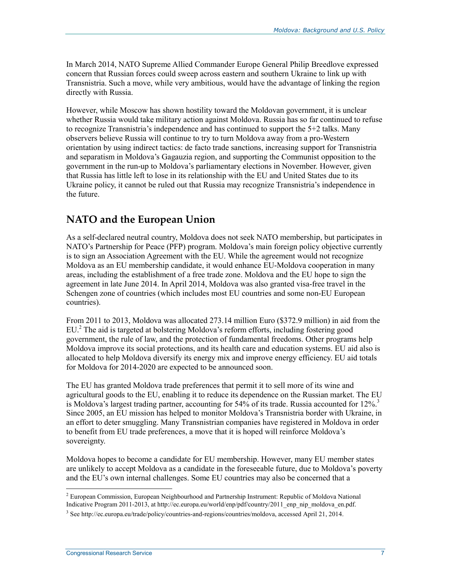In March 2014, NATO Supreme Allied Commander Europe General Philip Breedlove expressed concern that Russian forces could sweep across eastern and southern Ukraine to link up with Transnistria. Such a move, while very ambitious, would have the advantage of linking the region directly with Russia.

However, while Moscow has shown hostility toward the Moldovan government, it is unclear whether Russia would take military action against Moldova. Russia has so far continued to refuse to recognize Transnistria's independence and has continued to support the 5+2 talks. Many observers believe Russia will continue to try to turn Moldova away from a pro-Western orientation by using indirect tactics: de facto trade sanctions, increasing support for Transnistria and separatism in Moldova's Gagauzia region, and supporting the Communist opposition to the government in the run-up to Moldova's parliamentary elections in November. However, given that Russia has little left to lose in its relationship with the EU and United States due to its Ukraine policy, it cannot be ruled out that Russia may recognize Transnistria's independence in the future.

#### **NATO and the European Union**

As a self-declared neutral country, Moldova does not seek NATO membership, but participates in NATO's Partnership for Peace (PFP) program. Moldova's main foreign policy objective currently is to sign an Association Agreement with the EU. While the agreement would not recognize Moldova as an EU membership candidate, it would enhance EU-Moldova cooperation in many areas, including the establishment of a free trade zone. Moldova and the EU hope to sign the agreement in late June 2014. In April 2014, Moldova was also granted visa-free travel in the Schengen zone of countries (which includes most EU countries and some non-EU European countries).

From 2011 to 2013, Moldova was allocated 273.14 million Euro (\$372.9 million) in aid from the EU.<sup>2</sup> The aid is targeted at bolstering Moldova's reform efforts, including fostering good government, the rule of law, and the protection of fundamental freedoms. Other programs help Moldova improve its social protections, and its health care and education systems. EU aid also is allocated to help Moldova diversify its energy mix and improve energy efficiency. EU aid totals for Moldova for 2014-2020 are expected to be announced soon.

The EU has granted Moldova trade preferences that permit it to sell more of its wine and agricultural goods to the EU, enabling it to reduce its dependence on the Russian market. The EU is Moldova's largest trading partner, accounting for  $54\%$  of its trade. Russia accounted for  $12\%$ <sup>3</sup> Since 2005, an EU mission has helped to monitor Moldova's Transnistria border with Ukraine, in an effort to deter smuggling. Many Transnistrian companies have registered in Moldova in order to benefit from EU trade preferences, a move that it is hoped will reinforce Moldova's sovereignty.

Moldova hopes to become a candidate for EU membership. However, many EU member states are unlikely to accept Moldova as a candidate in the foreseeable future, due to Moldova's poverty and the EU's own internal challenges. Some EU countries may also be concerned that a

1

<sup>&</sup>lt;sup>2</sup> European Commission, European Neighbourhood and Partnership Instrument: Republic of Moldova National Indicative Program 2011-2013, at http://ec.europa.eu/world/enp/pdf/country/2011\_enp\_nip\_moldova\_en.pdf.

<sup>3</sup> See http://ec.europa.eu/trade/policy/countries-and-regions/countries/moldova, accessed April 21, 2014.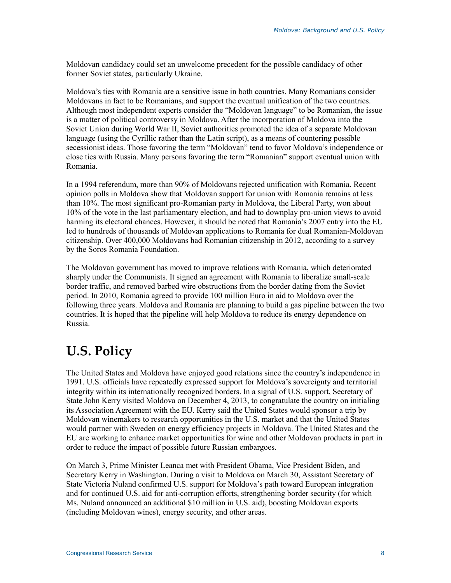Moldovan candidacy could set an unwelcome precedent for the possible candidacy of other former Soviet states, particularly Ukraine.

Moldova's ties with Romania are a sensitive issue in both countries. Many Romanians consider Moldovans in fact to be Romanians, and support the eventual unification of the two countries. Although most independent experts consider the "Moldovan language" to be Romanian, the issue is a matter of political controversy in Moldova. After the incorporation of Moldova into the Soviet Union during World War II, Soviet authorities promoted the idea of a separate Moldovan language (using the Cyrillic rather than the Latin script), as a means of countering possible secessionist ideas. Those favoring the term "Moldovan" tend to favor Moldova's independence or close ties with Russia. Many persons favoring the term "Romanian" support eventual union with Romania.

In a 1994 referendum, more than 90% of Moldovans rejected unification with Romania. Recent opinion polls in Moldova show that Moldovan support for union with Romania remains at less than 10%. The most significant pro-Romanian party in Moldova, the Liberal Party, won about 10% of the vote in the last parliamentary election, and had to downplay pro-union views to avoid harming its electoral chances. However, it should be noted that Romania's 2007 entry into the EU led to hundreds of thousands of Moldovan applications to Romania for dual Romanian-Moldovan citizenship. Over 400,000 Moldovans had Romanian citizenship in 2012, according to a survey by the Soros Romania Foundation.

The Moldovan government has moved to improve relations with Romania, which deteriorated sharply under the Communists. It signed an agreement with Romania to liberalize small-scale border traffic, and removed barbed wire obstructions from the border dating from the Soviet period. In 2010, Romania agreed to provide 100 million Euro in aid to Moldova over the following three years. Moldova and Romania are planning to build a gas pipeline between the two countries. It is hoped that the pipeline will help Moldova to reduce its energy dependence on Russia.

## **U.S. Policy**

The United States and Moldova have enjoyed good relations since the country's independence in 1991. U.S. officials have repeatedly expressed support for Moldova's sovereignty and territorial integrity within its internationally recognized borders. In a signal of U.S. support, Secretary of State John Kerry visited Moldova on December 4, 2013, to congratulate the country on initialing its Association Agreement with the EU. Kerry said the United States would sponsor a trip by Moldovan winemakers to research opportunities in the U.S. market and that the United States would partner with Sweden on energy efficiency projects in Moldova. The United States and the EU are working to enhance market opportunities for wine and other Moldovan products in part in order to reduce the impact of possible future Russian embargoes.

On March 3, Prime Minister Leanca met with President Obama, Vice President Biden, and Secretary Kerry in Washington. During a visit to Moldova on March 30, Assistant Secretary of State Victoria Nuland confirmed U.S. support for Moldova's path toward European integration and for continued U.S. aid for anti-corruption efforts, strengthening border security (for which Ms. Nuland announced an additional \$10 million in U.S. aid), boosting Moldovan exports (including Moldovan wines), energy security, and other areas.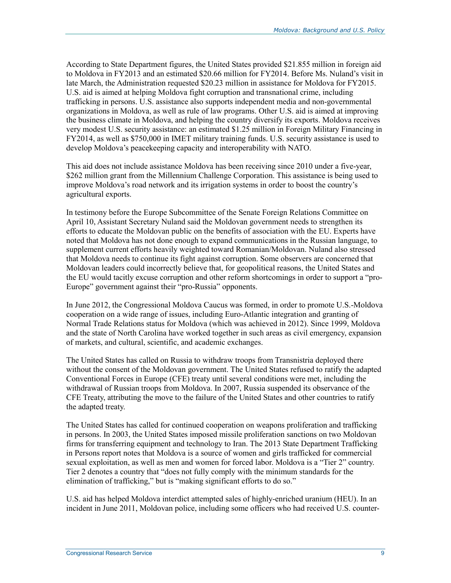According to State Department figures, the United States provided \$21.855 million in foreign aid to Moldova in FY2013 and an estimated \$20.66 million for FY2014. Before Ms. Nuland's visit in late March, the Administration requested \$20.23 million in assistance for Moldova for FY2015. U.S. aid is aimed at helping Moldova fight corruption and transnational crime, including trafficking in persons. U.S. assistance also supports independent media and non-governmental organizations in Moldova, as well as rule of law programs. Other U.S. aid is aimed at improving the business climate in Moldova, and helping the country diversify its exports. Moldova receives very modest U.S. security assistance: an estimated \$1.25 million in Foreign Military Financing in FY2014, as well as \$750,000 in IMET military training funds. U.S. security assistance is used to develop Moldova's peacekeeping capacity and interoperability with NATO.

This aid does not include assistance Moldova has been receiving since 2010 under a five-year, \$262 million grant from the Millennium Challenge Corporation. This assistance is being used to improve Moldova's road network and its irrigation systems in order to boost the country's agricultural exports.

In testimony before the Europe Subcommittee of the Senate Foreign Relations Committee on April 10, Assistant Secretary Nuland said the Moldovan government needs to strengthen its efforts to educate the Moldovan public on the benefits of association with the EU. Experts have noted that Moldova has not done enough to expand communications in the Russian language, to supplement current efforts heavily weighted toward Romanian/Moldovan. Nuland also stressed that Moldova needs to continue its fight against corruption. Some observers are concerned that Moldovan leaders could incorrectly believe that, for geopolitical reasons, the United States and the EU would tacitly excuse corruption and other reform shortcomings in order to support a "pro-Europe" government against their "pro-Russia" opponents.

In June 2012, the Congressional Moldova Caucus was formed, in order to promote U.S.-Moldova cooperation on a wide range of issues, including Euro-Atlantic integration and granting of Normal Trade Relations status for Moldova (which was achieved in 2012). Since 1999, Moldova and the state of North Carolina have worked together in such areas as civil emergency, expansion of markets, and cultural, scientific, and academic exchanges.

The United States has called on Russia to withdraw troops from Transnistria deployed there without the consent of the Moldovan government. The United States refused to ratify the adapted Conventional Forces in Europe (CFE) treaty until several conditions were met, including the withdrawal of Russian troops from Moldova. In 2007, Russia suspended its observance of the CFE Treaty, attributing the move to the failure of the United States and other countries to ratify the adapted treaty.

The United States has called for continued cooperation on weapons proliferation and trafficking in persons. In 2003, the United States imposed missile proliferation sanctions on two Moldovan firms for transferring equipment and technology to Iran. The 2013 State Department Trafficking in Persons report notes that Moldova is a source of women and girls trafficked for commercial sexual exploitation, as well as men and women for forced labor. Moldova is a "Tier 2" country. Tier 2 denotes a country that "does not fully comply with the minimum standards for the elimination of trafficking," but is "making significant efforts to do so."

U.S. aid has helped Moldova interdict attempted sales of highly-enriched uranium (HEU). In an incident in June 2011, Moldovan police, including some officers who had received U.S. counter